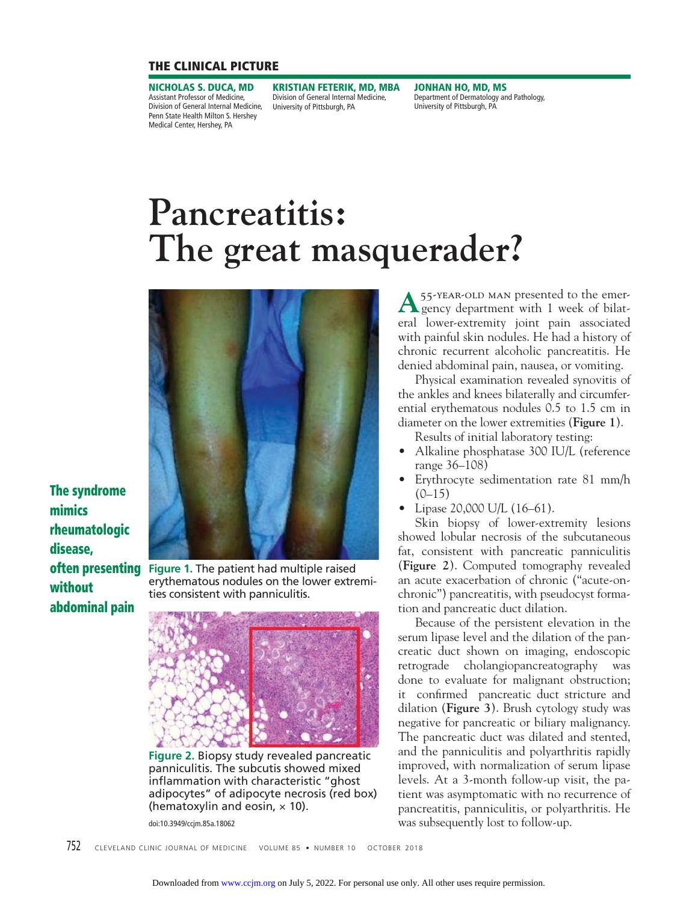## **THE CLINICAL PICTURE**

**NICHOLAS S. DUCA, MD** Assistant Professor of Medicine, Division of General Internal Medicine, Penn State Health Milton S. Hershey Medical Center, Hershey, PA

**KRISTIAN FETERIK, MD, MBA** Division of General Internal Medicine, University of Pittsburgh, PA

**JONHAN HO, MD, MS** Department of Dermatology and Pathology, University of Pittsburgh, PA

# **Pancreatitis: The great masquerader?**



**The syndrome mimics rheumatologic disease, without abdominal pain**

**often presenting** Figure 1. The patient had multiple raised erythematous nodules on the lower extremities consistent with panniculitis.



**Figure 2.** Biopsy study revealed pancreatic panniculitis. The subcutis showed mixed inflammation with characteristic "ghost adipocytes" of adipocyte necrosis (red box) (hematoxylin and eosin,  $\times$  10).

doi:10.3949/ccjm.85a.18062

A <sup>55-year-old man presented to the emer-<br>gency department with 1 week of bilat-</sup> eral lower-extremity joint pain associated with painful skin nodules. He had a history of chronic recurrent alcoholic pancreatitis. He denied abdominal pain, nausea, or vomiting.

 Physical examination revealed synovitis of the ankles and knees bilaterally and circumferential erythematous nodules 0.5 to 1.5 cm in diameter on the lower extremities (**Figure 1**).

Results of initial laboratory testing:

- Alkaline phosphatase 300 IU/L (reference range 36–108)
- Erythrocyte sedimentation rate 81 mm/h  $(0-15)$
- Lipase 20,000 U/L (16–61).

 Skin biopsy of lower-extremity lesions showed lobular necrosis of the subcutaneous fat, consistent with pancreatic panniculitis (**Figure 2**). Computed tomography revealed an acute exacerbation of chronic ("acute-onchronic") pancreatitis, with pseudocyst formation and pancreatic duct dilation.

 Because of the persistent elevation in the serum lipase level and the dilation of the pancreatic duct shown on imaging, endoscopic retrograde cholangiopancreatography was done to evaluate for malignant obstruction; it confirmed pancreatic duct stricture and dilation (**Figure 3**). Brush cytology study was negative for pancreatic or biliary malignancy. The pancreatic duct was dilated and stented, and the panniculitis and polyarthritis rapidly improved, with normalization of serum lipase levels. At a 3-month follow-up visit, the patient was asymptomatic with no recurrence of pancreatitis, panniculitis, or polyarthritis. He was subsequently lost to follow-up.